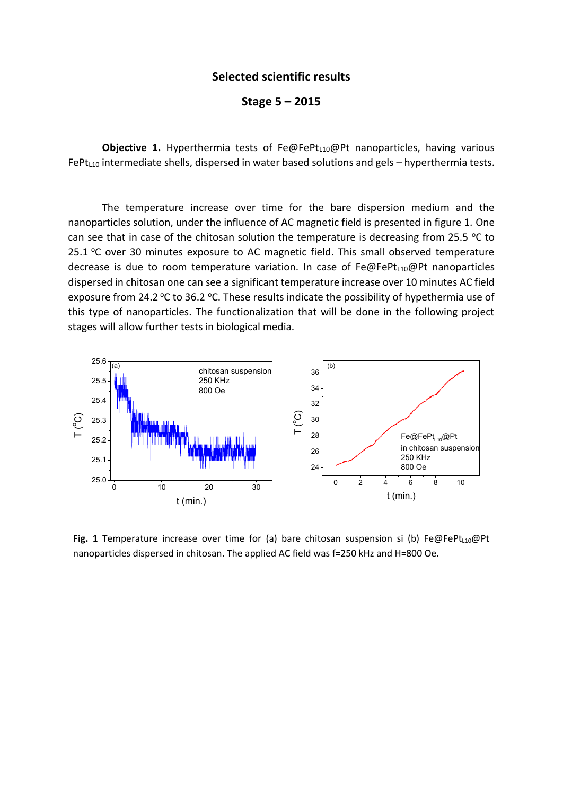## **Selected scientific results**

**Stage 5 – 2015**

**Objective 1.** Hyperthermia tests of Fe@FePt<sub>L10</sub>@Pt nanoparticles, having various  $FePt<sub>L10</sub>$  intermediate shells, dispersed in water based solutions and gels – hyperthermia tests.

The temperature increase over time for the bare dispersion medium and the nanoparticles solution, under the influence of AC magnetic field is presented in figure 1. One can see that in case of the chitosan solution the temperature is decreasing from 25.5  $\degree$ C to 25.1  $\degree$ C over 30 minutes exposure to AC magnetic field. This small observed temperature decrease is due to room temperature variation. In case of  $Fe@FePt_{110}@Pt$  nanoparticles dispersed in chitosan one can see a significant temperature increase over 10 minutes AC field exposure from 24.2 °C to 36.2 °C. These results indicate the possibility of hypethermia use of this type of nanoparticles. The functionalization that will be done in the following project stages will allow further tests in biological media.



Fig. 1 Temperature increase over time for (a) bare chitosan suspension si (b) Fe@FePt<sub>L10</sub>@Pt nanoparticles dispersed in chitosan. The applied AC field was f=250 kHz and H=800 Oe.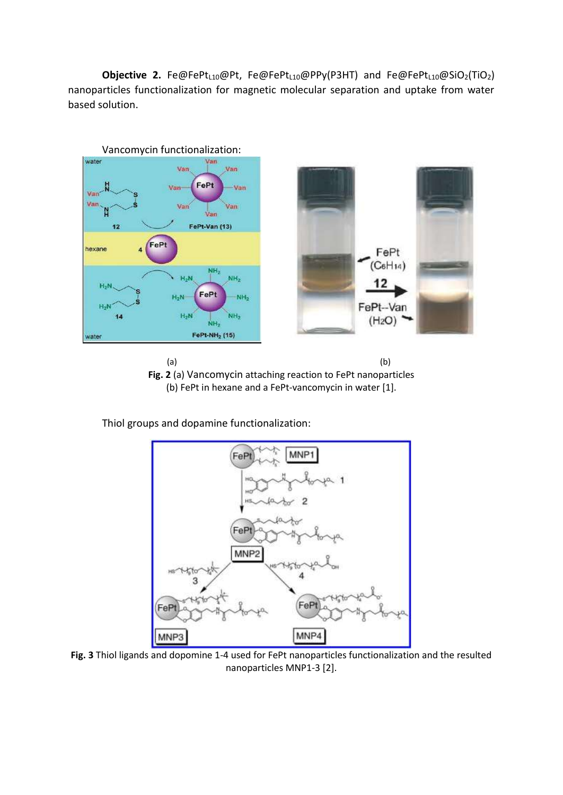Objective 2. Fe@FePt<sub>L10</sub>@Pt, Fe@FePt<sub>L10</sub>@PPy(P3HT) and Fe@FePt<sub>L10</sub>@SiO<sub>2</sub>(TiO<sub>2</sub>) nanoparticles functionalization for magnetic molecular separation and uptake from water based solution.





Thiol groups and dopamine functionalization:



**Fig. 3** Thiol ligands and dopomine 1-4 used for FePt nanoparticles functionalization and the resulted nanoparticles MNP1-3 [2].